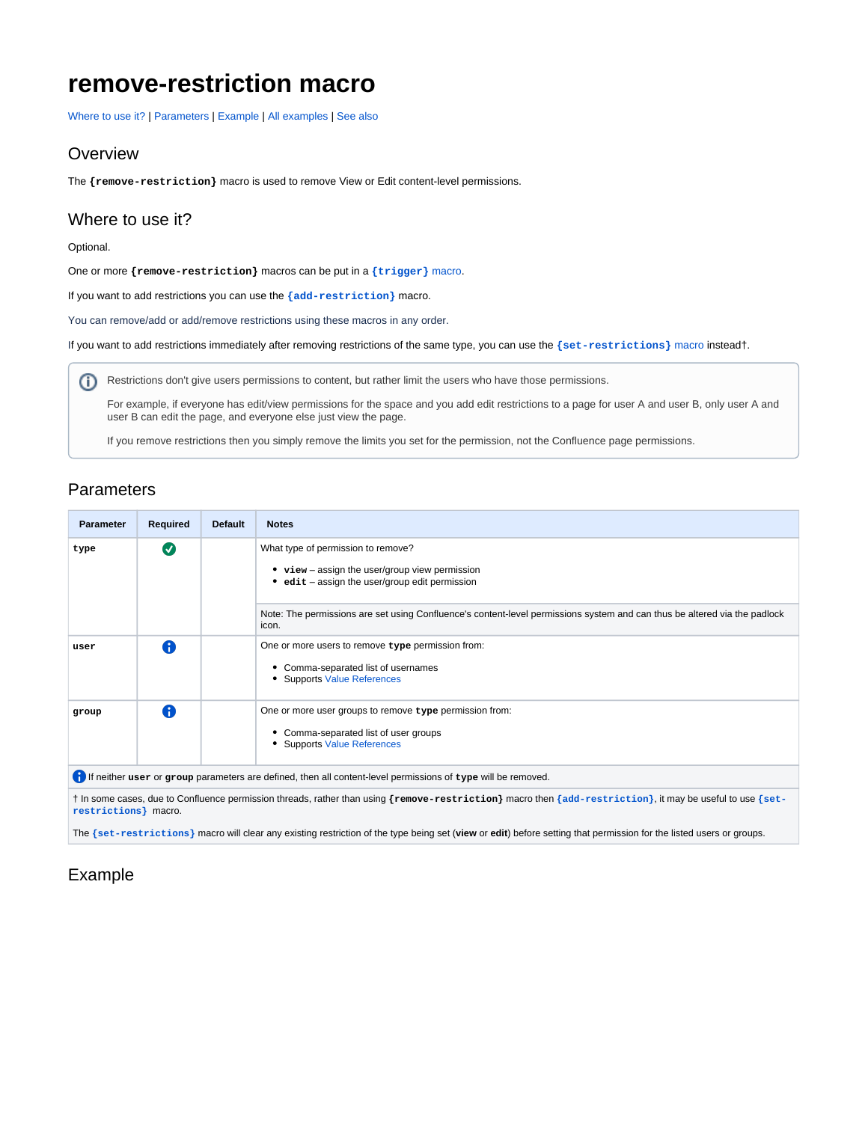# **remove-restriction macro**

[Where to use it?](https://wiki.comalatech.com/display/CDML/remove-restriction+macro#removerestrictionmacro-Wheretouseit?) | [Parameters](https://wiki.comalatech.com/display/CDML/remove-restriction+macro#removerestrictionmacro-Parameters) | [Example](https://wiki.comalatech.com/display/CDML/remove-restriction+macro#removerestrictionmacro-Example) | [All examples](https://wiki.comalatech.com/display/CDML/remove-restriction+macro#removerestrictionmacro-Allexamples) | [See also](https://wiki.comalatech.com/display/CDML/remove-restriction+macro#removerestrictionmacro-Seealso)

#### **Overview**

The **{remove-restriction}** macro is used to remove View or Edit content-level permissions.

### Where to use it?

#### Optional.

One or more **{remove-restriction}** macros can be put in a **[{trigger}](https://wiki.comalatech.com/display/CDML/trigger+macro)** macro.

If you want to add restrictions you can use the **[{add-restriction}](https://wiki.comalatech.com/display/CDML/add-restriction+macro)** macro.

You can remove/add or add/remove restrictions using these macros in any order.

If you want to add restrictions immediately after removing restrictions of the same type, you can use the **[{set-restrictions}](https://wiki.comalatech.com/display/AWPD/set-restrictions+macro)** macro instead†.

Restrictions don't give users permissions to content, but rather limit the users who have those permissions.

For example, if everyone has edit/view permissions for the space and you add edit restrictions to a page for user A and user B, only user A and user B can edit the page, and everyone else just view the page.

If you remove restrictions then you simply remove the limits you set for the permission, not the Confluence page permissions.

## **Parameters**

| <b>Parameter</b>                                                                                             | Required                | <b>Default</b> | <b>Notes</b>                                                                                                                                |
|--------------------------------------------------------------------------------------------------------------|-------------------------|----------------|---------------------------------------------------------------------------------------------------------------------------------------------|
| type                                                                                                         | $\overline{\mathsf{v}}$ |                | What type of permission to remove?<br>• view - assign the user/group view permission<br>$edit - assign the user/group edit permission$<br>٠ |
|                                                                                                              |                         |                | Note: The permissions are set using Confluence's content-level permissions system and can thus be altered via the padlock<br>icon.          |
| user                                                                                                         | A                       |                | One or more users to remove type permission from:<br>• Comma-separated list of usernames<br>• Supports Value References                     |
| group                                                                                                        | A                       |                | One or more user groups to remove type permission from:<br>• Comma-separated list of user groups<br>• Supports Value References             |
| If neither user or group parameters are defined, then all content-level permissions of type will be removed. |                         |                |                                                                                                                                             |

† In some cases, due to Confluence permission threads, rather than using **{remove-restriction}** macro then **[{add-restriction}](https://wiki.comalatech.com/display/CDML/add-restriction+macro)**, it may be useful to use **[{set](https://wiki.comalatech.com/display/CDML/set-restrictions+macro)[restrictions}](https://wiki.comalatech.com/display/CDML/set-restrictions+macro)** macro.

The **[{set-restrictions}](https://wiki.comalatech.com/display/CDML/set-restrictions+macro)** macro will clear any existing restriction of the type being set (**view** or **edit**) before setting that permission for the listed users or groups.

# Example